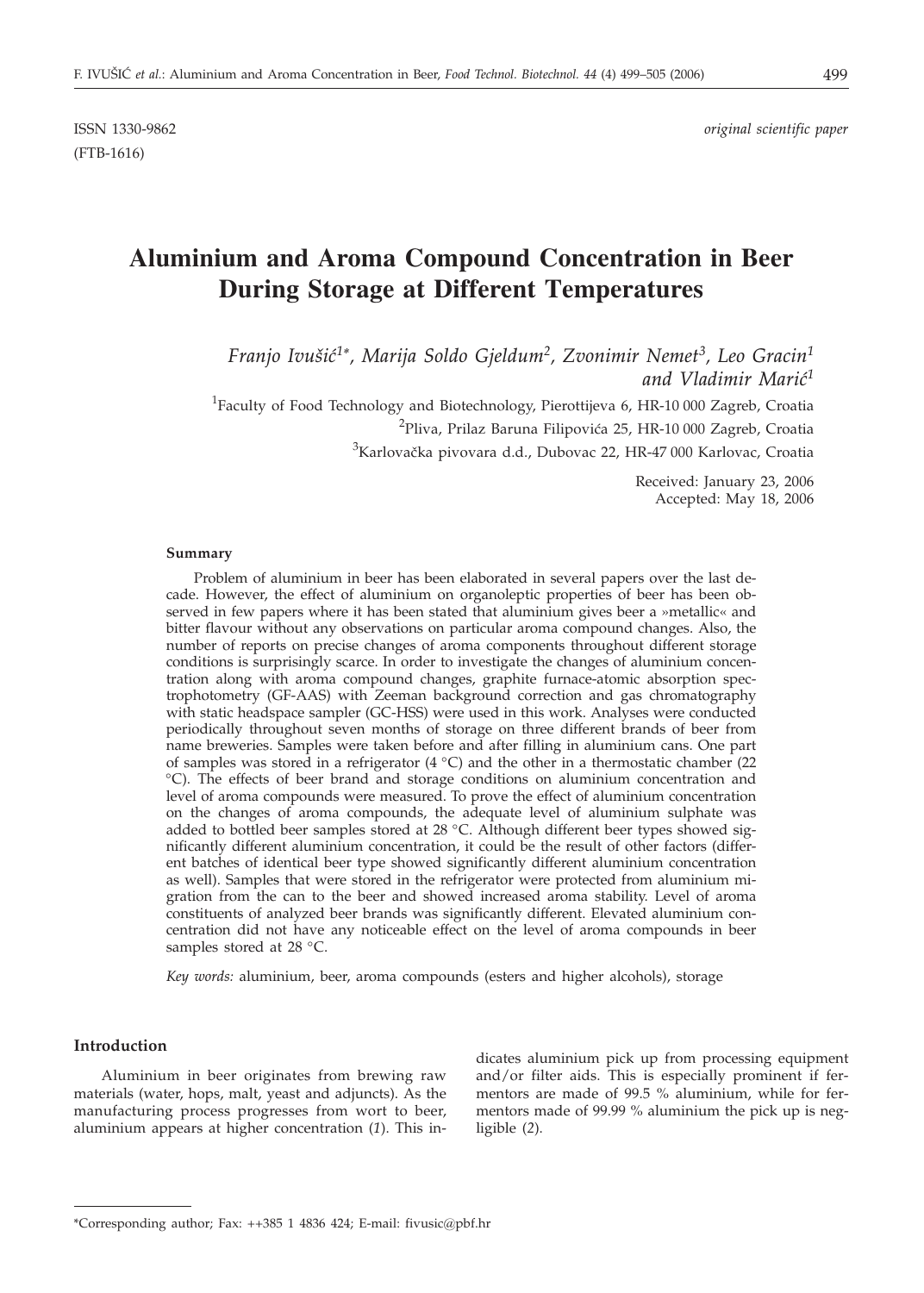ISSN 1330-9862 *original scientific paper*

# **Aluminium and Aroma Compound Concentration in Beer During Storage at Different Temperatures**

*Franjo Ivu{i}1\*, Marija Soldo Gjeldum2, Zvonimir Nemet3, Leo Gracin1* and Vladimir Marić<sup>1</sup>

<sup>1</sup>Faculty of Food Technology and Biotechnology, Pierottijeva 6, HR-10 000 Zagreb, Croatia

<sup>2</sup>Pliva, Prilaz Baruna Filipovića 25, HR-10 000 Zagreb, Croatia

 $^3$ Karlovačka pivovara d.d., Dubovac 22, HR-47 000 Karlovac, Croatia

Received: January 23, 2006 Accepted: May 18, 2006

#### **Summary**

Problem of aluminium in beer has been elaborated in several papers over the last decade. However, the effect of aluminium on organoleptic properties of beer has been observed in few papers where it has been stated that aluminium gives beer a »metallic« and bitter flavour without any observations on particular aroma compound changes. Also, the number of reports on precise changes of aroma components throughout different storage conditions is surprisingly scarce. In order to investigate the changes of aluminium concentration along with aroma compound changes, graphite furnace-atomic absorption spectrophotometry (GF-AAS) with Zeeman background correction and gas chromatography with static headspace sampler (GC-HSS) were used in this work. Analyses were conducted periodically throughout seven months of storage on three different brands of beer from name breweries. Samples were taken before and after filling in aluminium cans. One part of samples was stored in a refrigerator  $(4 \degree C)$  and the other in a thermostatic chamber (22) °C). The effects of beer brand and storage conditions on aluminium concentration and level of aroma compounds were measured. To prove the effect of aluminium concentration on the changes of aroma compounds, the adequate level of aluminium sulphate was added to bottled beer samples stored at 28 °C. Although different beer types showed significantly different aluminium concentration, it could be the result of other factors (different batches of identical beer type showed significantly different aluminium concentration as well). Samples that were stored in the refrigerator were protected from aluminium migration from the can to the beer and showed increased aroma stability. Level of aroma constituents of analyzed beer brands was significantly different. Elevated aluminium concentration did not have any noticeable effect on the level of aroma compounds in beer samples stored at 28 °C.

*Key words:* aluminium, beer, aroma compounds (esters and higher alcohols), storage

# **Introduction**

Aluminium in beer originates from brewing raw materials (water, hops, malt, yeast and adjuncts). As the manufacturing process progresses from wort to beer, aluminium appears at higher concentration (*1*). This in-

dicates aluminium pick up from processing equipment and/or filter aids. This is especially prominent if fermentors are made of 99.5 % aluminium, while for fermentors made of 99.99 % aluminium the pick up is negligible (*2*).

<sup>\*</sup>Corresponding author; Fax: ++385 1 4836 424; E-mail: fivusic*@*pbf.hr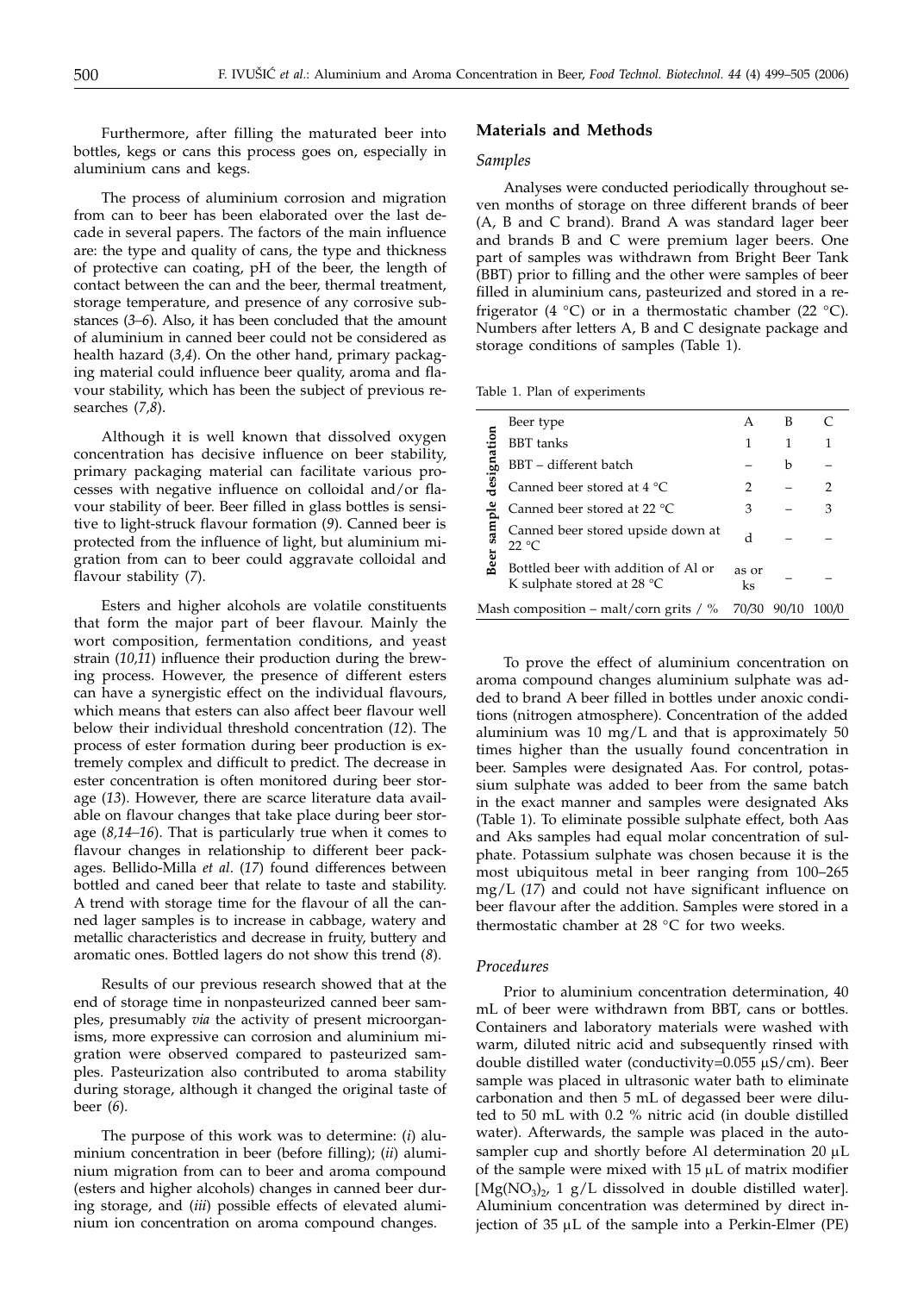Furthermore, after filling the maturated beer into bottles, kegs or cans this process goes on, especially in aluminium cans and kegs.

The process of aluminium corrosion and migration from can to beer has been elaborated over the last decade in several papers. The factors of the main influence are: the type and quality of cans, the type and thickness of protective can coating, pH of the beer, the length of contact between the can and the beer, thermal treatment, storage temperature, and presence of any corrosive substances (*3–6*). Also, it has been concluded that the amount of aluminium in canned beer could not be considered as health hazard (*3,4*). On the other hand, primary packaging material could influence beer quality, aroma and flavour stability, which has been the subject of previous researches (*7,8*).

Although it is well known that dissolved oxygen concentration has decisive influence on beer stability, primary packaging material can facilitate various processes with negative influence on colloidal and/or flavour stability of beer. Beer filled in glass bottles is sensitive to light-struck flavour formation (*9*). Canned beer is protected from the influence of light, but aluminium migration from can to beer could aggravate colloidal and flavour stability (*7*).

Esters and higher alcohols are volatile constituents that form the major part of beer flavour. Mainly the wort composition, fermentation conditions, and yeast strain (*10,11*) influence their production during the brewing process. However, the presence of different esters can have a synergistic effect on the individual flavours, which means that esters can also affect beer flavour well below their individual threshold concentration (*12*). The process of ester formation during beer production is extremely complex and difficult to predict. The decrease in ester concentration is often monitored during beer storage (*13*). However, there are scarce literature data available on flavour changes that take place during beer storage (*8,14–16*). That is particularly true when it comes to flavour changes in relationship to different beer packages. Bellido-Milla *et al*. (*17*) found differences between bottled and caned beer that relate to taste and stability. A trend with storage time for the flavour of all the canned lager samples is to increase in cabbage, watery and metallic characteristics and decrease in fruity, buttery and aromatic ones. Bottled lagers do not show this trend (*8*).

Results of our previous research showed that at the end of storage time in nonpasteurized canned beer samples, presumably *via* the activity of present microorganisms, more expressive can corrosion and aluminium migration were observed compared to pasteurized samples. Pasteurization also contributed to aroma stability during storage, although it changed the original taste of beer (*6*).

The purpose of this work was to determine: (*i*) aluminium concentration in beer (before filling); (*ii*) aluminium migration from can to beer and aroma compound (esters and higher alcohols) changes in canned beer during storage, and (*iii*) possible effects of elevated aluminium ion concentration on aroma compound changes.

## **Materials and Methods**

#### *Samples*

Analyses were conducted periodically throughout seven months of storage on three different brands of beer (A, B and C brand). Brand A was standard lager beer and brands B and C were premium lager beers. One part of samples was withdrawn from Bright Beer Tank (BBT) prior to filling and the other were samples of beer filled in aluminium cans, pasteurized and stored in a refrigerator (4 °C) or in a thermostatic chamber (22 °C). Numbers after letters A, B and C designate package and storage conditions of samples (Table 1).

| Table 1. Plan of experiments |  |
|------------------------------|--|
|------------------------------|--|

| Beer type                                                                   | А           | в     |                |
|-----------------------------------------------------------------------------|-------------|-------|----------------|
| <b>BBT</b> tanks                                                            | 1           | 1     | 1              |
| designation<br>BBT - different batch                                        |             | b     |                |
| Canned beer stored at 4 °C                                                  | 2           |       | $\overline{2}$ |
| Canned beer stored at 22 $^{\circ}$ C                                       | 3           |       | 3              |
| Beer sample<br>Canned beer stored upside down at<br>22 °C                   | d           |       |                |
| Bottled beer with addition of Al or<br>K sulphate stored at 28 $^{\circ}$ C | as or<br>ks |       |                |
| Mash composition – malt/corn grits / $\%$                                   | 70/30       | 90/10 | 100/0          |

To prove the effect of aluminium concentration on aroma compound changes aluminium sulphate was added to brand A beer filled in bottles under anoxic conditions (nitrogen atmosphere). Concentration of the added aluminium was 10 mg/L and that is approximately 50 times higher than the usually found concentration in beer. Samples were designated Aas. For control, potassium sulphate was added to beer from the same batch in the exact manner and samples were designated Aks (Table 1). To eliminate possible sulphate effect, both Aas and Aks samples had equal molar concentration of sulphate. Potassium sulphate was chosen because it is the most ubiquitous metal in beer ranging from 100–265 mg/L (*17*) and could not have significant influence on beer flavour after the addition. Samples were stored in a thermostatic chamber at 28 °C for two weeks.

#### *Procedures*

Prior to aluminium concentration determination, 40 mL of beer were withdrawn from BBT, cans or bottles. Containers and laboratory materials were washed with warm, diluted nitric acid and subsequently rinsed with double distilled water (conductivity= $0.055 \mu$ S/cm). Beer sample was placed in ultrasonic water bath to eliminate carbonation and then 5 mL of degassed beer were diluted to 50 mL with 0.2 % nitric acid (in double distilled water). Afterwards, the sample was placed in the autosampler cup and shortly before Al determination  $20 \mu L$ of the sample were mixed with  $15 \mu L$  of matrix modifier  $[Mg(NO_3)_2, 1 g/L]$  dissolved in double distilled water]. Aluminium concentration was determined by direct injection of  $35 \mu L$  of the sample into a Perkin-Elmer (PE)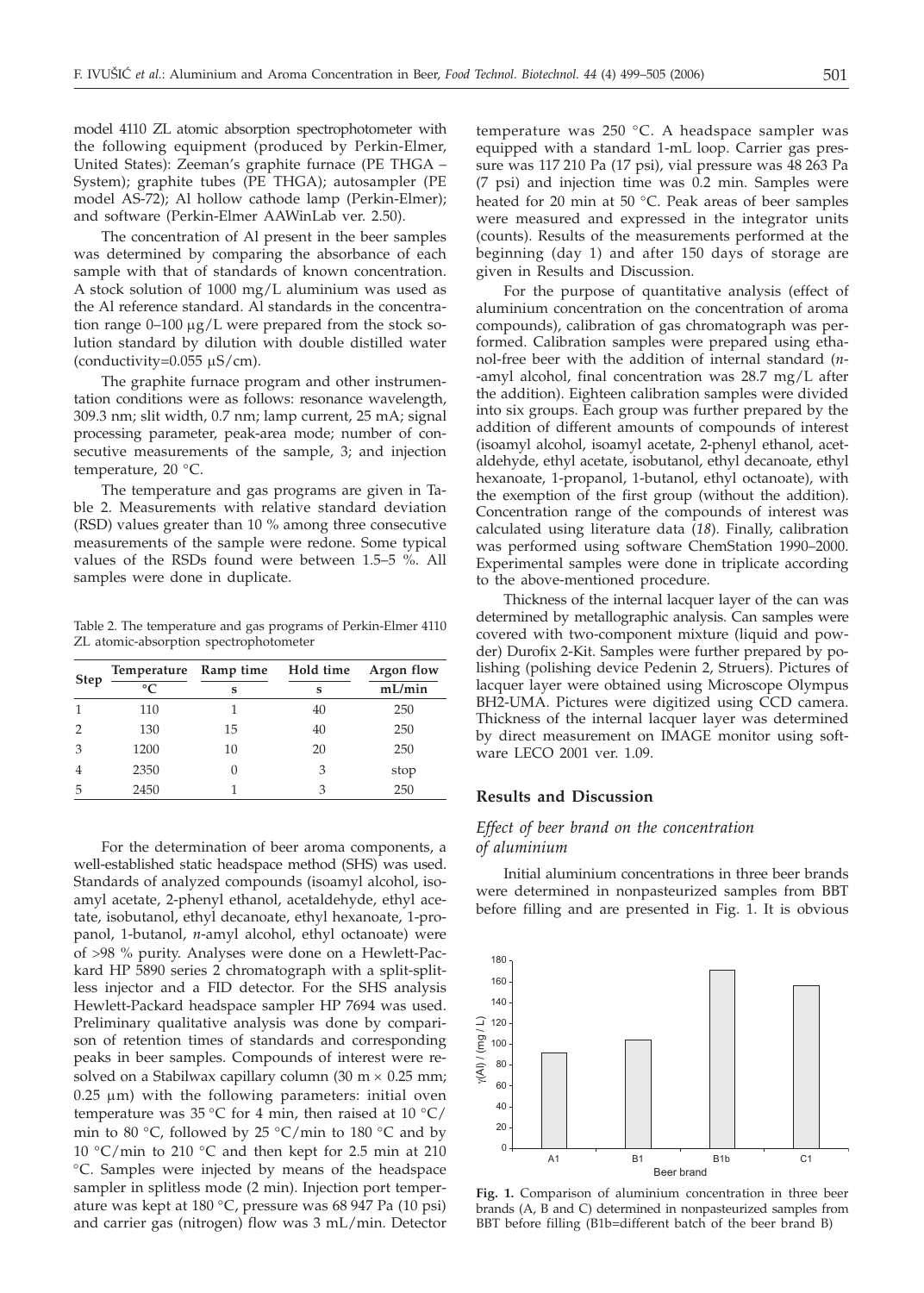model 4110 ZL atomic absorption spectrophotometer with the following equipment (produced by Perkin-Elmer, United States): Zeeman's graphite furnace (PE THGA – System); graphite tubes (PE THGA); autosampler (PE model AS-72); Al hollow cathode lamp (Perkin-Elmer); and software (Perkin-Elmer AAWinLab ver. 2.50).

The concentration of Al present in the beer samples was determined by comparing the absorbance of each sample with that of standards of known concentration. A stock solution of 1000 mg/L aluminium was used as the Al reference standard. Al standards in the concentration range  $0-100 \mu g/L$  were prepared from the stock solution standard by dilution with double distilled water (conductivity= $0.055 \mu S/cm$ ).

The graphite furnace program and other instrumentation conditions were as follows: resonance wavelength, 309.3 nm; slit width, 0.7 nm; lamp current, 25 mA; signal processing parameter, peak-area mode; number of consecutive measurements of the sample, 3; and injection temperature, 20 °C.

The temperature and gas programs are given in Table 2. Measurements with relative standard deviation (RSD) values greater than 10 % among three consecutive measurements of the sample were redone. Some typical values of the RSDs found were between 1.5–5 %. All samples were done in duplicate.

Table 2. The temperature and gas programs of Perkin-Elmer 4110 ZL atomic-absorption spectrophotometer

|                | Temperature Ramp time |    | Hold time | Argon flow<br>mL/min |  |
|----------------|-----------------------|----|-----------|----------------------|--|
| <b>Step</b>    | $\circ$ C             | S  | s         |                      |  |
|                | 110                   |    | 40        | 250                  |  |
|                | 130                   | 15 | 40        | 250                  |  |
| 3              | 1200                  | 10 | 20        | 250                  |  |
| $\overline{4}$ | 2350                  |    | 3         | stop                 |  |
| 5              | 2450                  |    | З         | 250                  |  |

For the determination of beer aroma components, a well-established static headspace method (SHS) was used. Standards of analyzed compounds (isoamyl alcohol, isoamyl acetate, 2-phenyl ethanol, acetaldehyde, ethyl acetate, isobutanol, ethyl decanoate, ethyl hexanoate, 1-propanol, 1-butanol, *n*-amyl alcohol, ethyl octanoate) were of >98 % purity. Analyses were done on a Hewlett-Packard HP 5890 series 2 chromatograph with a split-splitless injector and a FID detector. For the SHS analysis Hewlett-Packard headspace sampler HP 7694 was used. Preliminary qualitative analysis was done by comparison of retention times of standards and corresponding peaks in beer samples. Compounds of interest were resolved on a Stabilwax capillary column  $(30 \text{ m} \times 0.25 \text{ mm})$ ;  $0.25 \mu m$ ) with the following parameters: initial oven temperature was 35 °C for 4 min, then raised at 10 °C/ min to 80 °C, followed by 25 °C/min to 180 °C and by 10 °C/min to 210 °C and then kept for 2.5 min at 210 °C. Samples were injected by means of the headspace sampler in splitless mode (2 min). Injection port temperature was kept at 180 °C, pressure was 68 947 Pa (10 psi) and carrier gas (nitrogen) flow was 3 mL/min. Detector

temperature was 250 °C. A headspace sampler was equipped with a standard 1-mL loop. Carrier gas pressure was 117 210 Pa (17 psi), vial pressure was 48 263 Pa (7 psi) and injection time was 0.2 min. Samples were heated for 20 min at 50 °C. Peak areas of beer samples were measured and expressed in the integrator units (counts). Results of the measurements performed at the beginning (day 1) and after 150 days of storage are given in Results and Discussion.

For the purpose of quantitative analysis (effect of aluminium concentration on the concentration of aroma compounds), calibration of gas chromatograph was performed. Calibration samples were prepared using ethanol-free beer with the addition of internal standard (*n*- -amyl alcohol, final concentration was 28.7 mg/L after the addition). Eighteen calibration samples were divided into six groups. Each group was further prepared by the addition of different amounts of compounds of interest (isoamyl alcohol, isoamyl acetate, 2-phenyl ethanol, acetaldehyde, ethyl acetate, isobutanol, ethyl decanoate, ethyl hexanoate, 1-propanol, 1-butanol, ethyl octanoate), with the exemption of the first group (without the addition). Concentration range of the compounds of interest was calculated using literature data (*18*). Finally, calibration was performed using software ChemStation 1990–2000. Experimental samples were done in triplicate according to the above-mentioned procedure.

Thickness of the internal lacquer layer of the can was determined by metallographic analysis. Can samples were covered with two-component mixture (liquid and powder) Durofix 2-Kit. Samples were further prepared by polishing (polishing device Pedenin 2, Struers). Pictures of lacquer layer were obtained using Microscope Olympus BH2-UMA. Pictures were digitized using CCD camera. Thickness of the internal lacquer layer was determined by direct measurement on IMAGE monitor using software LECO 2001 ver. 1.09.

## **Results and Discussion**

## *Effect of beer brand on the concentration of aluminium*

Initial aluminium concentrations in three beer brands were determined in nonpasteurized samples from BBT before filling and are presented in Fig. 1. It is obvious



**Fig. 1.** Comparison of aluminium concentration in three beer brands (A, B and C) determined in nonpasteurized samples from BBT before filling (B1b=different batch of the beer brand B)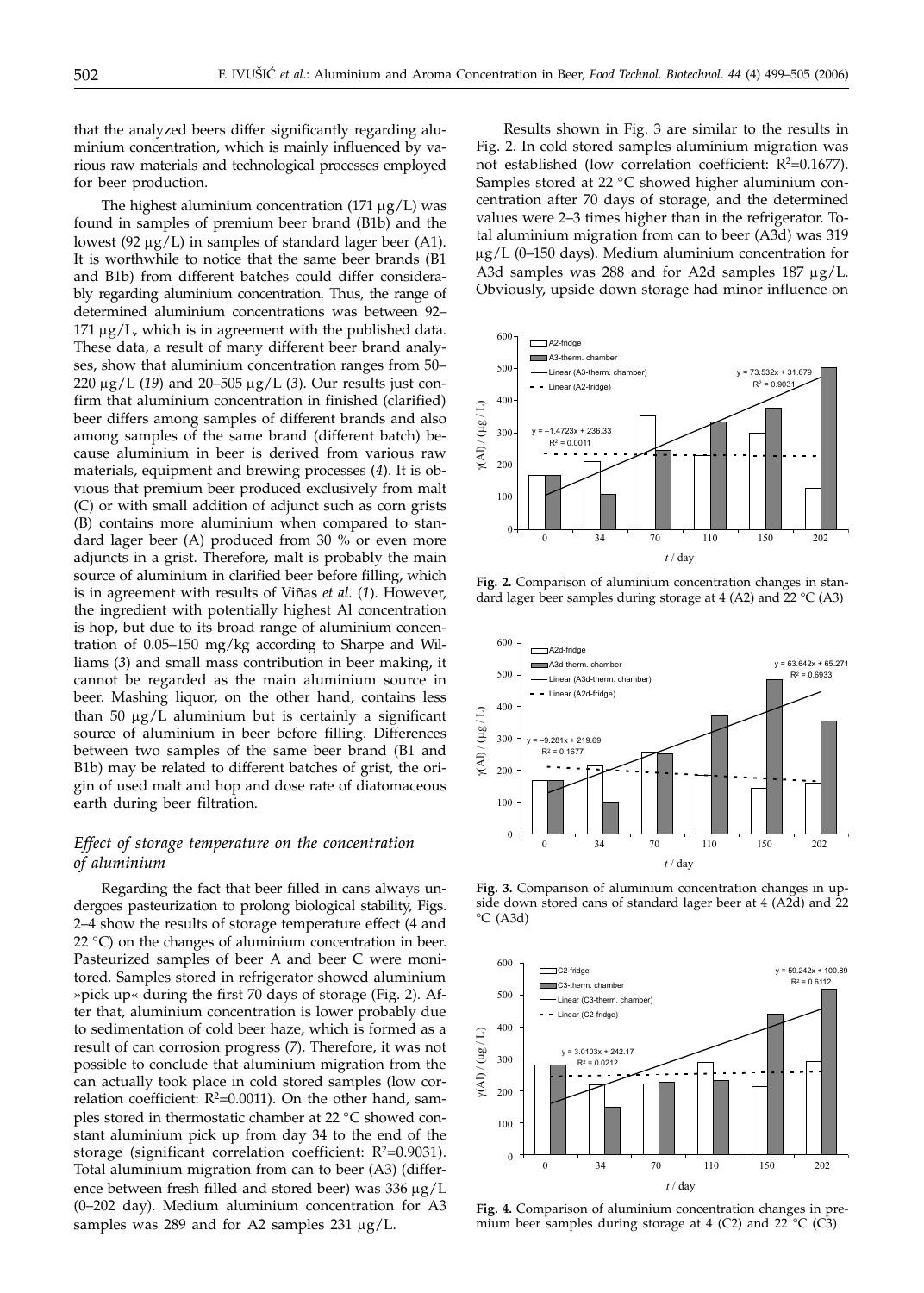that the analyzed beers differ significantly regarding aluminium concentration, which is mainly influenced by various raw materials and technological processes employed for beer production.

The highest aluminium concentration  $(171 \mu g/L)$  was found in samples of premium beer brand (B1b) and the lowest (92  $\mu$ g/L) in samples of standard lager beer (A1). It is worthwhile to notice that the same beer brands (B1 and B1b) from different batches could differ considerably regarding aluminium concentration. Thus, the range of determined aluminium concentrations was between 92–  $171 \mu g/L$ , which is in agreement with the published data. These data, a result of many different beer brand analyses, show that aluminium concentration ranges from 50–  $220 \mu g/L$  (19) and  $20-505 \mu g/L$  (3). Our results just confirm that aluminium concentration in finished (clarified) beer differs among samples of different brands and also among samples of the same brand (different batch) because aluminium in beer is derived from various raw materials, equipment and brewing processes (*4*). It is obvious that premium beer produced exclusively from malt (C) or with small addition of adjunct such as corn grists (B) contains more aluminium when compared to standard lager beer (A) produced from 30 % or even more adjuncts in a grist. Therefore, malt is probably the main source of aluminium in clarified beer before filling, which is in agreement with results of Viñas *et al.* (*1*). However, the ingredient with potentially highest Al concentration is hop, but due to its broad range of aluminium concentration of 0.05–150 mg/kg according to Sharpe and Williams (*3*) and small mass contribution in beer making, it cannot be regarded as the main aluminium source in beer. Mashing liquor, on the other hand, contains less than 50  $\mu$ g/L aluminium but is certainly a significant source of aluminium in beer before filling. Differences between two samples of the same beer brand (B1 and B1b) may be related to different batches of grist, the origin of used malt and hop and dose rate of diatomaceous earth during beer filtration.

# *Effect of storage temperature on the concentration of aluminium*

Regarding the fact that beer filled in cans always undergoes pasteurization to prolong biological stability, Figs. 2–4 show the results of storage temperature effect (4 and 22  $^{\circ}$ C) on the changes of aluminium concentration in beer. Pasteurized samples of beer A and beer C were monitored. Samples stored in refrigerator showed aluminium »pick up« during the first 70 days of storage (Fig. 2). After that, aluminium concentration is lower probably due to sedimentation of cold beer haze, which is formed as a result of can corrosion progress (*7*). Therefore, it was not possible to conclude that aluminium migration from the can actually took place in cold stored samples (low correlation coefficient:  $R^2$ =0.0011). On the other hand, samples stored in thermostatic chamber at 22 °C showed constant aluminium pick up from day 34 to the end of the storage (significant correlation coefficient:  $R^2=0.9031$ ). Total aluminium migration from can to beer (A3) (difference between fresh filled and stored beer) was  $336 \mu g/L$ (0–202 day). Medium aluminium concentration for A3 samples was 289 and for A2 samples 231  $\mu$ g/L.

Results shown in Fig. 3 are similar to the results in Fig. 2. In cold stored samples aluminium migration was not established (low correlation coefficient:  $R^2=0.1677$ ). Samples stored at 22 °C showed higher aluminium concentration after 70 days of storage, and the determined values were 2–3 times higher than in the refrigerator. Total aluminium migration from can to beer (A3d) was 319  $\mu$ g/L (0–150 days). Medium aluminium concentration for A3d samples was  $288$  and for A2d samples  $187 \mu g/L$ . Obviously, upside down storage had minor influence on



**Fig. 2.** Comparison of aluminium concentration changes in standard lager beer samples during storage at 4 (A2) and 22  $^{\circ}$ C (A3)



**Fig. 3.** Comparison of aluminium concentration changes in upside down stored cans of standard lager beer at 4 (A2d) and 22  $°C$  (A3d)



**Fig. 4.** Comparison of aluminium concentration changes in premium beer samples during storage at 4 (C2) and 22  $^{\circ}$ C (C3)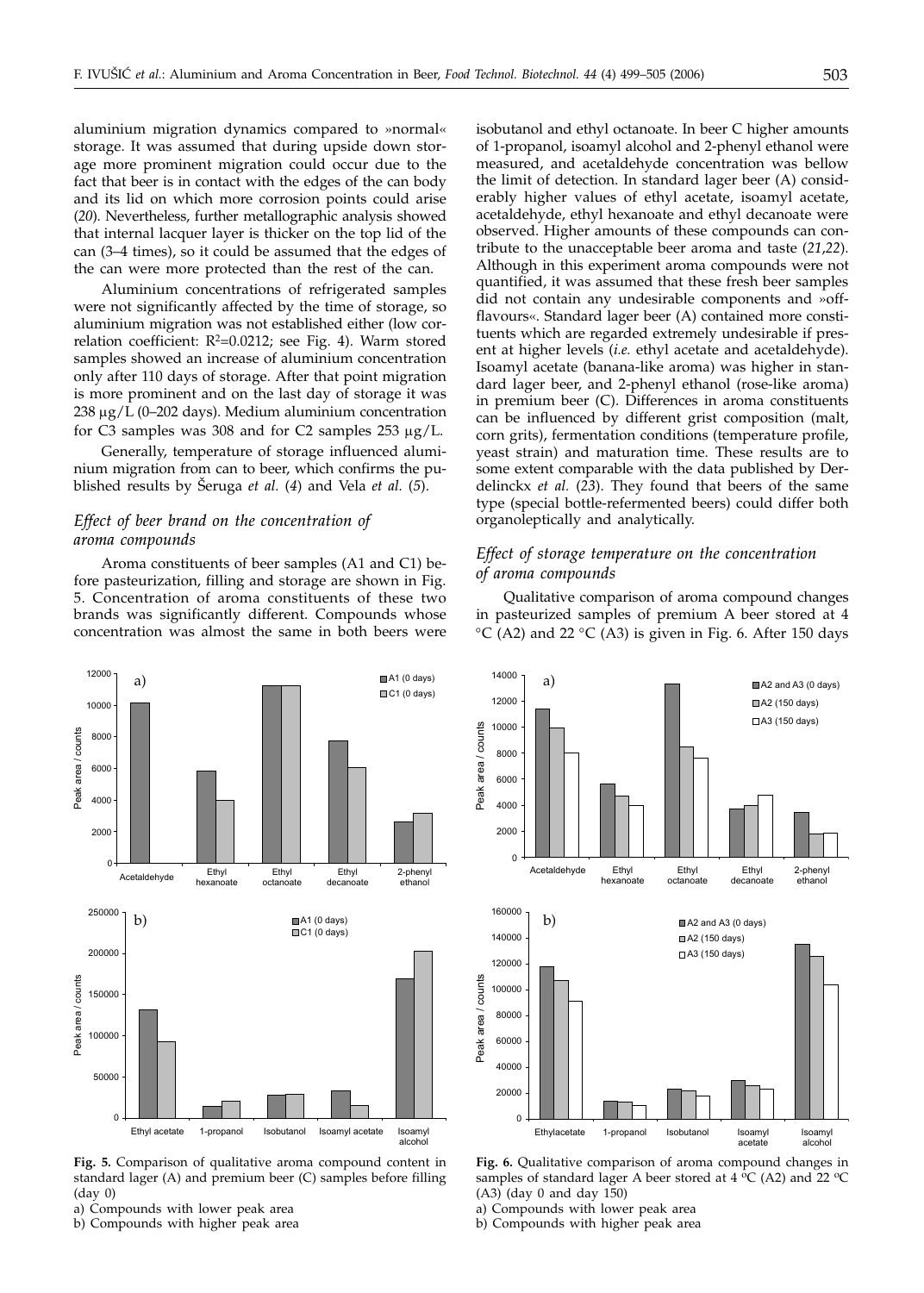aluminium migration dynamics compared to »normal« storage. It was assumed that during upside down storage more prominent migration could occur due to the fact that beer is in contact with the edges of the can body and its lid on which more corrosion points could arise (*20*). Nevertheless, further metallographic analysis showed that internal lacquer layer is thicker on the top lid of the can (3–4 times), so it could be assumed that the edges of the can were more protected than the rest of the can.

Aluminium concentrations of refrigerated samples were not significantly affected by the time of storage, so aluminium migration was not established either (low correlation coefficient:  $R^2=0.0212$ ; see Fig. 4). Warm stored samples showed an increase of aluminium concentration only after 110 days of storage. After that point migration is more prominent and on the last day of storage it was  $238 \mu g/L$  (0–202 days). Medium aluminium concentration for C3 samples was 308 and for C2 samples  $253 \mu g/L$ .

Generally, temperature of storage influenced aluminium migration from can to beer, which confirms the published results by [eruga *et al.* (*4*) and Vela *et al.* (*5*).

# *Effect of beer brand on the concentration of aroma compounds*

Aroma constituents of beer samples (A1 and C1) before pasteurization, filling and storage are shown in Fig. 5. Concentration of aroma constituents of these two brands was significantly different. Compounds whose concentration was almost the same in both beers were isobutanol and ethyl octanoate. In beer C higher amounts of 1-propanol, isoamyl alcohol and 2-phenyl ethanol were measured, and acetaldehyde concentration was bellow the limit of detection. In standard lager beer (A) considerably higher values of ethyl acetate, isoamyl acetate, acetaldehyde, ethyl hexanoate and ethyl decanoate were observed. Higher amounts of these compounds can contribute to the unacceptable beer aroma and taste (*21*,*22*). Although in this experiment aroma compounds were not quantified, it was assumed that these fresh beer samples did not contain any undesirable components and »offflavours«. Standard lager beer (A) contained more constituents which are regarded extremely undesirable if present at higher levels (*i.e.* ethyl acetate and acetaldehyde). Isoamyl acetate (banana-like aroma) was higher in standard lager beer, and 2-phenyl ethanol (rose-like aroma) in premium beer (C). Differences in aroma constituents can be influenced by different grist composition (malt, corn grits), fermentation conditions (temperature profile, yeast strain) and maturation time. These results are to some extent comparable with the data published by Derdelinckx *et al.* (*23*). They found that beers of the same type (special bottle-refermented beers) could differ both organoleptically and analytically.

## *Effect of storage temperature on the concentration of aroma compounds*

Qualitative comparison of aroma compound changes in pasteurized samples of premium A beer stored at 4  $\rm{°C}$  (A2) and 22  $\rm{°C}$  (A3) is given in Fig. 6. After 150 days



**Fig. 5.** Comparison of qualitative aroma compound content in standard lager (A) and premium beer (C) samples before filling  $(dav<sub>0</sub>)$ 

a) Compounds with lower peak area

b) Compounds with higher peak area



**Fig. 6.** Qualitative comparison of aroma compound changes in samples of standard lager A beer stored at  $4 \,^{\circ}C$  (A2) and 22  $^{\circ}C$ (A3) (day 0 and day 150)

a) Compounds with lower peak area

b) Compounds with higher peak area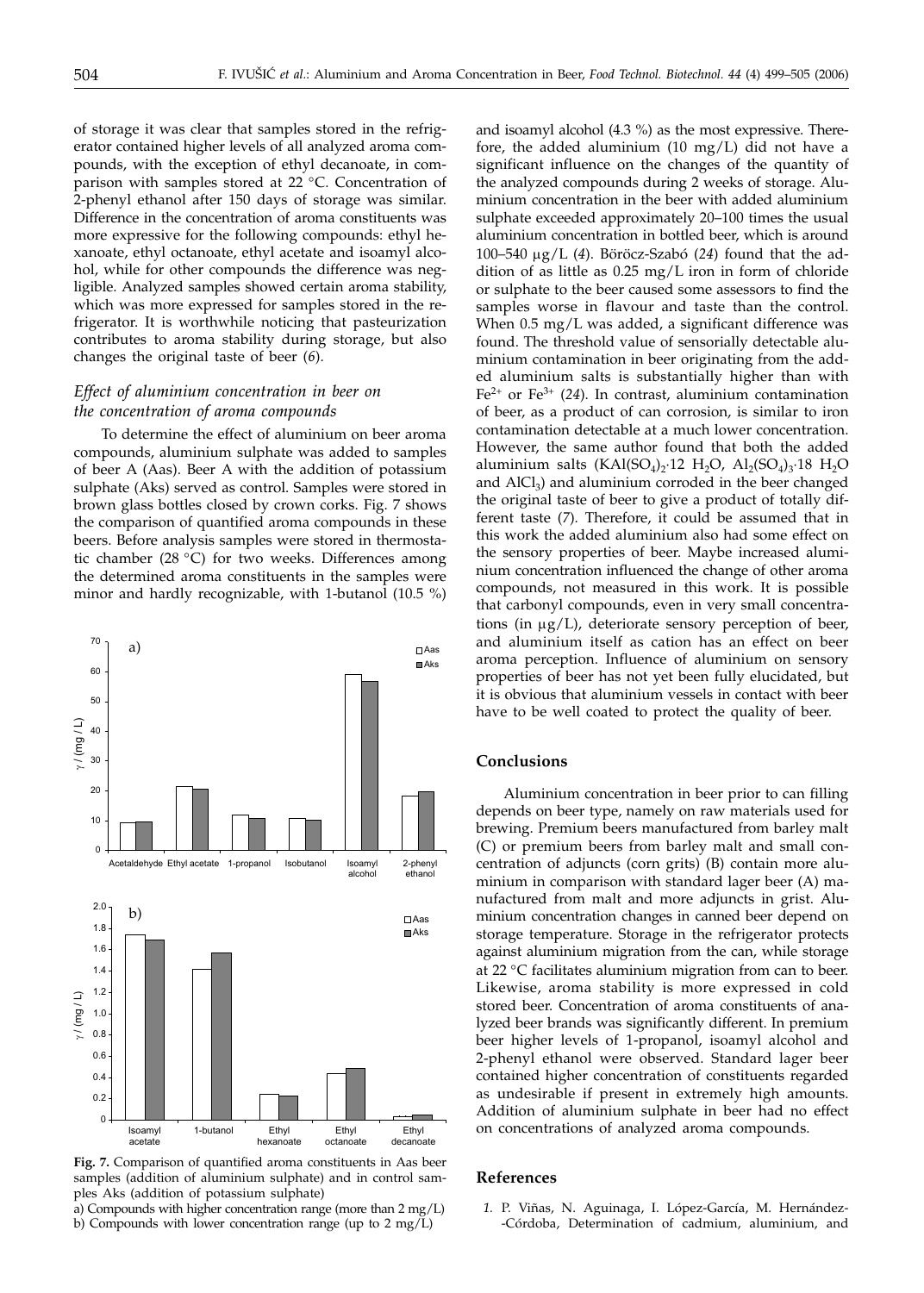of storage it was clear that samples stored in the refrigerator contained higher levels of all analyzed aroma compounds, with the exception of ethyl decanoate, in comparison with samples stored at 22 °C. Concentration of 2-phenyl ethanol after 150 days of storage was similar. Difference in the concentration of aroma constituents was more expressive for the following compounds: ethyl hexanoate, ethyl octanoate, ethyl acetate and isoamyl alcohol, while for other compounds the difference was negligible. Analyzed samples showed certain aroma stability, which was more expressed for samples stored in the refrigerator. It is worthwhile noticing that pasteurization contributes to aroma stability during storage, but also changes the original taste of beer (*6*).

# *Effect of aluminium concentration in beer on the concentration of aroma compounds*

To determine the effect of aluminium on beer aroma compounds, aluminium sulphate was added to samples of beer A (Aas). Beer A with the addition of potassium sulphate (Aks) served as control. Samples were stored in brown glass bottles closed by crown corks. Fig. 7 shows the comparison of quantified aroma compounds in these beers. Before analysis samples were stored in thermostatic chamber (28 °C) for two weeks. Differences among the determined aroma constituents in the samples were minor and hardly recognizable, with 1-butanol (10.5 %)



**Fig. 7.** Comparison of quantified aroma constituents in Aas beer samples (addition of aluminium sulphate) and in control samples Aks (addition of potassium sulphate)

a) Compounds with higher concentration range (more than 2 mg/L) b) Compounds with lower concentration range (up to 2 mg/L)

and isoamyl alcohol (4.3 %) as the most expressive. Therefore, the added aluminium (10 mg/L) did not have a significant influence on the changes of the quantity of the analyzed compounds during 2 weeks of storage. Aluminium concentration in the beer with added aluminium sulphate exceeded approximately 20–100 times the usual aluminium concentration in bottled beer, which is around 100–540 mg/L (*4*). Böröcz-Szabó (*24*) found that the addition of as little as 0.25 mg/L iron in form of chloride or sulphate to the beer caused some assessors to find the samples worse in flavour and taste than the control. When 0.5 mg/L was added, a significant difference was found. The threshold value of sensorially detectable aluminium contamination in beer originating from the added aluminium salts is substantially higher than with Fe2+ or Fe3+ (*24*). In contrast, aluminium contamination of beer, as a product of can corrosion, is similar to iron contamination detectable at a much lower concentration. However, the same author found that both the added aluminium salts (KAl(SO<sub>4</sub>)<sub>2</sub>·12 H<sub>2</sub>O, Al<sub>2</sub>(SO<sub>4</sub>)<sub>3</sub>·18 H<sub>2</sub>O and  $AlCl<sub>3</sub>$ ) and aluminium corroded in the beer changed the original taste of beer to give a product of totally different taste (*7*). Therefore, it could be assumed that in this work the added aluminium also had some effect on the sensory properties of beer. Maybe increased aluminium concentration influenced the change of other aroma compounds, not measured in this work. It is possible that carbonyl compounds, even in very small concentrations (in  $\mu$ g/L), deteriorate sensory perception of beer, and aluminium itself as cation has an effect on beer aroma perception. Influence of aluminium on sensory properties of beer has not yet been fully elucidated, but it is obvious that aluminium vessels in contact with beer have to be well coated to protect the quality of beer.

### **Conclusions**

Aluminium concentration in beer prior to can filling depends on beer type, namely on raw materials used for brewing. Premium beers manufactured from barley malt (C) or premium beers from barley malt and small concentration of adjuncts (corn grits) (B) contain more aluminium in comparison with standard lager beer (A) manufactured from malt and more adjuncts in grist. Aluminium concentration changes in canned beer depend on storage temperature. Storage in the refrigerator protects against aluminium migration from the can, while storage at 22 °C facilitates aluminium migration from can to beer. Likewise, aroma stability is more expressed in cold stored beer. Concentration of aroma constituents of analyzed beer brands was significantly different. In premium beer higher levels of 1-propanol, isoamyl alcohol and 2-phenyl ethanol were observed. Standard lager beer contained higher concentration of constituents regarded as undesirable if present in extremely high amounts. Addition of aluminium sulphate in beer had no effect on concentrations of analyzed aroma compounds.

#### **References**

*1.* P. Viñas, N. Aguinaga, I. López-García, M. Hernández- -Córdoba, Determination of cadmium, aluminium, and